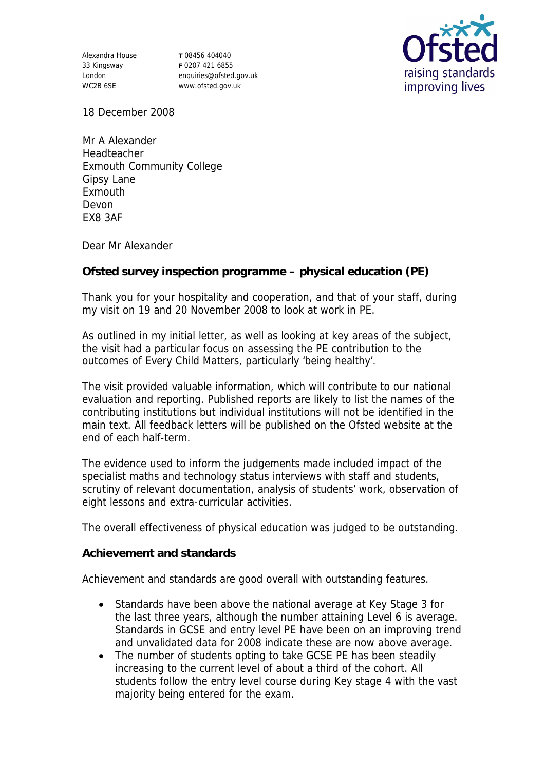Alexandra House 33 Kingsway London WC2B 6SE

**T** 08456 404040 **F** 0207 421 6855 enquiries@ofsted.gov.uk www.ofsted.gov.uk



18 December 2008

Mr A Alexander Headteacher Exmouth Community College Gipsy Lane Exmouth Devon EX8 3AF

Dear Mr Alexander

**Ofsted survey inspection programme – physical education (PE)**

Thank you for your hospitality and cooperation, and that of your staff, during my visit on 19 and 20 November 2008 to look at work in PE.

As outlined in my initial letter, as well as looking at key areas of the subject, the visit had a particular focus on assessing the PE contribution to the outcomes of Every Child Matters, particularly 'being healthy'.

The visit provided valuable information, which will contribute to our national evaluation and reporting. Published reports are likely to list the names of the contributing institutions but individual institutions will not be identified in the main text. All feedback letters will be published on the Ofsted website at the end of each half-term.

The evidence used to inform the judgements made included impact of the specialist maths and technology status interviews with staff and students, scrutiny of relevant documentation, analysis of students' work, observation of eight lessons and extra-curricular activities.

The overall effectiveness of physical education was judged to be outstanding.

**Achievement and standards** 

Achievement and standards are good overall with outstanding features.

- Standards have been above the national average at Key Stage 3 for the last three years, although the number attaining Level 6 is average. Standards in GCSE and entry level PE have been on an improving trend and unvalidated data for 2008 indicate these are now above average.
- The number of students opting to take GCSE PE has been steadily increasing to the current level of about a third of the cohort. All students follow the entry level course during Key stage 4 with the vast majority being entered for the exam.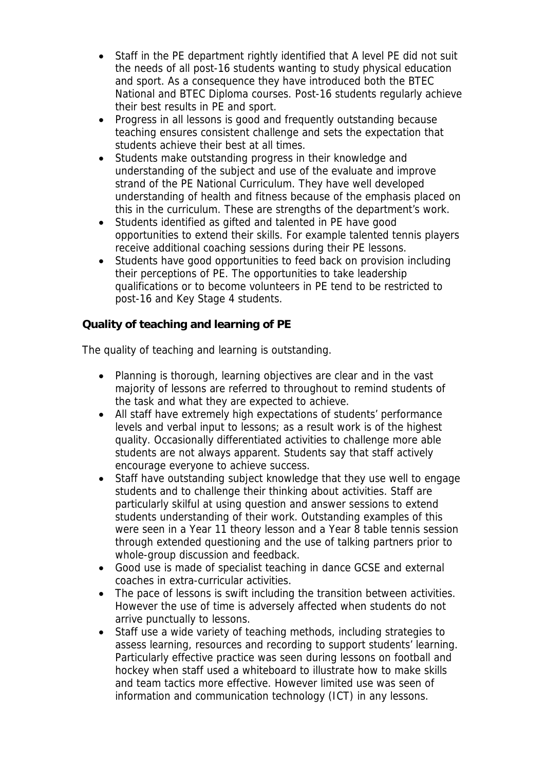- Staff in the PE department rightly identified that A level PE did not suit the needs of all post-16 students wanting to study physical education and sport. As a consequence they have introduced both the BTEC National and BTEC Diploma courses. Post-16 students regularly achieve their best results in PE and sport.
- Progress in all lessons is good and frequently outstanding because teaching ensures consistent challenge and sets the expectation that students achieve their best at all times.
- Students make outstanding progress in their knowledge and understanding of the subject and use of the evaluate and improve strand of the PE National Curriculum. They have well developed understanding of health and fitness because of the emphasis placed on this in the curriculum. These are strengths of the department's work.
- Students identified as gifted and talented in PE have good opportunities to extend their skills. For example talented tennis players receive additional coaching sessions during their PE lessons.
- Students have good opportunities to feed back on provision including their perceptions of PE. The opportunities to take leadership qualifications or to become volunteers in PE tend to be restricted to post-16 and Key Stage 4 students.

**Quality of teaching and learning of PE**

The quality of teaching and learning is outstanding.

- Planning is thorough, learning objectives are clear and in the vast majority of lessons are referred to throughout to remind students of the task and what they are expected to achieve.
- All staff have extremely high expectations of students' performance levels and verbal input to lessons; as a result work is of the highest quality. Occasionally differentiated activities to challenge more able students are not always apparent. Students say that staff actively encourage everyone to achieve success.
- Staff have outstanding subject knowledge that they use well to engage students and to challenge their thinking about activities. Staff are particularly skilful at using question and answer sessions to extend students understanding of their work. Outstanding examples of this were seen in a Year 11 theory lesson and a Year 8 table tennis session through extended questioning and the use of talking partners prior to whole-group discussion and feedback.
- Good use is made of specialist teaching in dance GCSE and external coaches in extra-curricular activities.
- The pace of lessons is swift including the transition between activities. However the use of time is adversely affected when students do not arrive punctually to lessons.
- Staff use a wide variety of teaching methods, including strategies to assess learning, resources and recording to support students' learning. Particularly effective practice was seen during lessons on football and hockey when staff used a whiteboard to illustrate how to make skills and team tactics more effective. However limited use was seen of information and communication technology (ICT) in any lessons.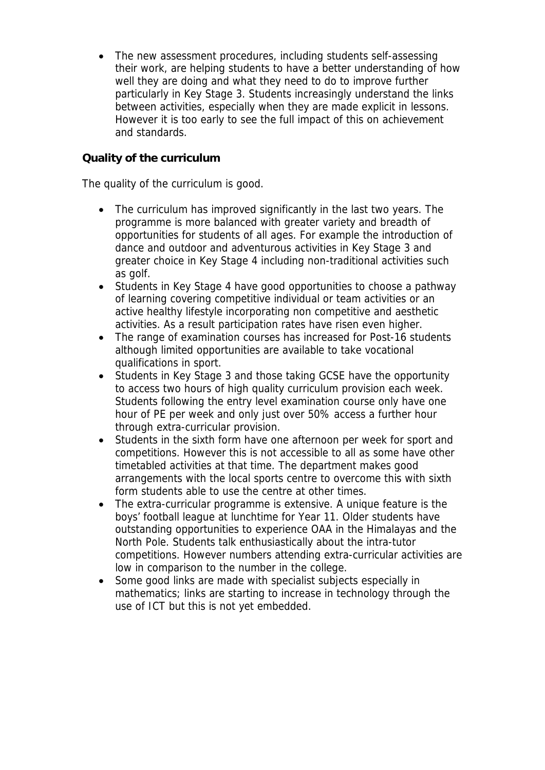The new assessment procedures, including students self-assessing their work, are helping students to have a better understanding of how well they are doing and what they need to do to improve further particularly in Key Stage 3. Students increasingly understand the links between activities, especially when they are made explicit in lessons. However it is too early to see the full impact of this on achievement and standards.

## **Quality of the curriculum**

The quality of the curriculum is good.

- The curriculum has improved significantly in the last two years. The programme is more balanced with greater variety and breadth of opportunities for students of all ages. For example the introduction of dance and outdoor and adventurous activities in Key Stage 3 and greater choice in Key Stage 4 including non-traditional activities such as golf.
- Students in Key Stage 4 have good opportunities to choose a pathway of learning covering competitive individual or team activities or an active healthy lifestyle incorporating non competitive and aesthetic activities. As a result participation rates have risen even higher.
- The range of examination courses has increased for Post-16 students although limited opportunities are available to take vocational qualifications in sport.
- Students in Key Stage 3 and those taking GCSE have the opportunity to access two hours of high quality curriculum provision each week. Students following the entry level examination course only have one hour of PE per week and only just over 50% access a further hour through extra-curricular provision.
- Students in the sixth form have one afternoon per week for sport and competitions. However this is not accessible to all as some have other timetabled activities at that time. The department makes good arrangements with the local sports centre to overcome this with sixth form students able to use the centre at other times.
- The extra-curricular programme is extensive. A unique feature is the boys' football league at lunchtime for Year 11. Older students have outstanding opportunities to experience OAA in the Himalayas and the North Pole. Students talk enthusiastically about the intra-tutor competitions. However numbers attending extra-curricular activities are low in comparison to the number in the college.
- Some good links are made with specialist subjects especially in mathematics; links are starting to increase in technology through the use of ICT but this is not yet embedded.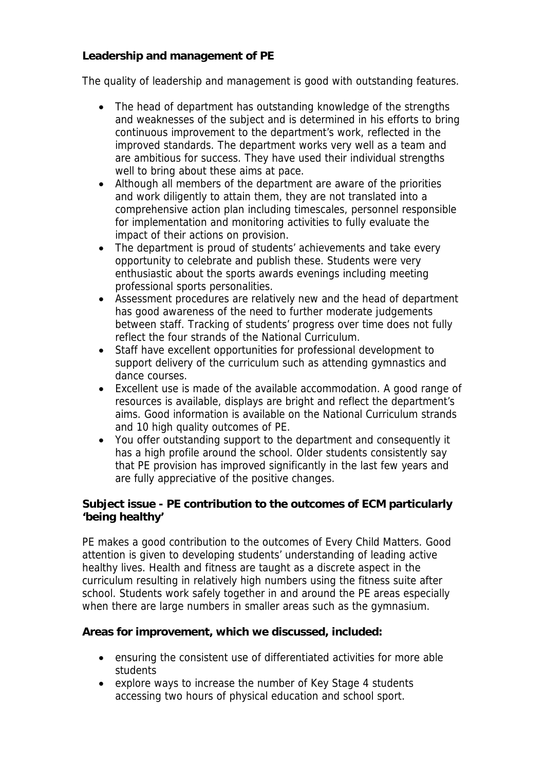**Leadership and management of PE**

The quality of leadership and management is good with outstanding features.

- The head of department has outstanding knowledge of the strengths and weaknesses of the subject and is determined in his efforts to bring continuous improvement to the department's work, reflected in the improved standards. The department works very well as a team and are ambitious for success. They have used their individual strengths well to bring about these aims at pace.
- Although all members of the department are aware of the priorities and work diligently to attain them, they are not translated into a comprehensive action plan including timescales, personnel responsible for implementation and monitoring activities to fully evaluate the impact of their actions on provision.
- The department is proud of students' achievements and take every opportunity to celebrate and publish these. Students were very enthusiastic about the sports awards evenings including meeting professional sports personalities.
- Assessment procedures are relatively new and the head of department has good awareness of the need to further moderate judgements between staff. Tracking of students' progress over time does not fully reflect the four strands of the National Curriculum.
- Staff have excellent opportunities for professional development to support delivery of the curriculum such as attending gymnastics and dance courses.
- Excellent use is made of the available accommodation. A good range of resources is available, displays are bright and reflect the department's aims. Good information is available on the National Curriculum strands and 10 high quality outcomes of PE.
- You offer outstanding support to the department and consequently it has a high profile around the school. Older students consistently say that PE provision has improved significantly in the last few years and are fully appreciative of the positive changes.

**Subject issue - PE contribution to the outcomes of ECM particularly 'being healthy'**

PE makes a good contribution to the outcomes of Every Child Matters. Good attention is given to developing students' understanding of leading active healthy lives. Health and fitness are taught as a discrete aspect in the curriculum resulting in relatively high numbers using the fitness suite after school. Students work safely together in and around the PE areas especially when there are large numbers in smaller areas such as the gymnasium.

**Areas for improvement, which we discussed, included:**

- ensuring the consistent use of differentiated activities for more able students
- explore ways to increase the number of Key Stage 4 students accessing two hours of physical education and school sport.